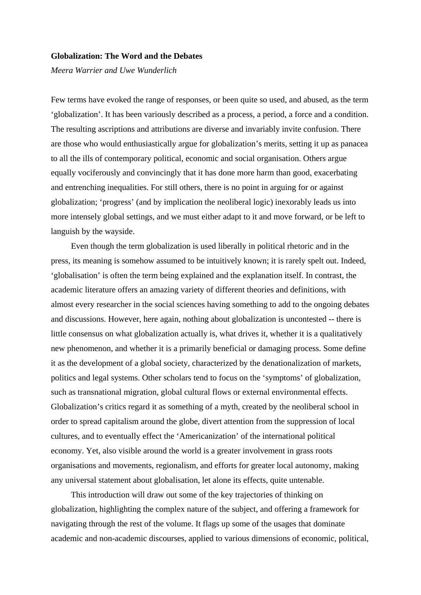## **Globalization: The Word and the Debates**

*Meera Warrier and Uwe Wunderlich* 

Few terms have evoked the range of responses, or been quite so used, and abused, as the term 'globalization'. It has been variously described as a process, a period, a force and a condition. The resulting ascriptions and attributions are diverse and invariably invite confusion. There are those who would enthusiastically argue for globalization's merits, setting it up as panacea to all the ills of contemporary political, economic and social organisation. Others argue equally vociferously and convincingly that it has done more harm than good, exacerbating and entrenching inequalities. For still others, there is no point in arguing for or against globalization; 'progress' (and by implication the neoliberal logic) inexorably leads us into more intensely global settings, and we must either adapt to it and move forward, or be left to languish by the wayside.

Even though the term globalization is used liberally in political rhetoric and in the press, its meaning is somehow assumed to be intuitively known; it is rarely spelt out. Indeed, 'globalisation' is often the term being explained and the explanation itself. In contrast, the academic literature offers an amazing variety of different theories and definitions, with almost every researcher in the social sciences having something to add to the ongoing debates and discussions. However, here again, nothing about globalization is uncontested -- there is little consensus on what globalization actually is, what drives it, whether it is a qualitatively new phenomenon, and whether it is a primarily beneficial or damaging process. Some define it as the development of a global society, characterized by the denationalization of markets, politics and legal systems. Other scholars tend to focus on the 'symptoms' of globalization, such as transnational migration, global cultural flows or external environmental effects. Globalization's critics regard it as something of a myth, created by the neoliberal school in order to spread capitalism around the globe, divert attention from the suppression of local cultures, and to eventually effect the 'Americanization' of the international political economy. Yet, also visible around the world is a greater involvement in grass roots organisations and movements, regionalism, and efforts for greater local autonomy, making any universal statement about globalisation, let alone its effects, quite untenable.

This introduction will draw out some of the key trajectories of thinking on globalization, highlighting the complex nature of the subject, and offering a framework for navigating through the rest of the volume. It flags up some of the usages that dominate academic and non-academic discourses, applied to various dimensions of economic, political,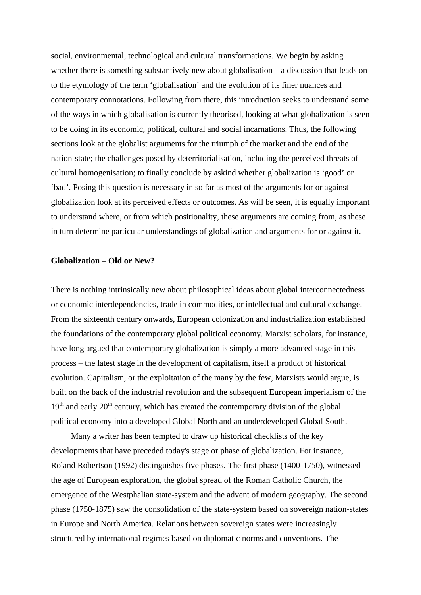social, environmental, technological and cultural transformations. We begin by asking whether there is something substantively new about globalisation – a discussion that leads on to the etymology of the term 'globalisation' and the evolution of its finer nuances and contemporary connotations. Following from there, this introduction seeks to understand some of the ways in which globalisation is currently theorised, looking at what globalization is seen to be doing in its economic, political, cultural and social incarnations. Thus, the following sections look at the globalist arguments for the triumph of the market and the end of the nation-state; the challenges posed by deterritorialisation, including the perceived threats of cultural homogenisation; to finally conclude by askind whether globalization is 'good' or 'bad'. Posing this question is necessary in so far as most of the arguments for or against globalization look at its perceived effects or outcomes. As will be seen, it is equally important to understand where, or from which positionality, these arguments are coming from, as these in turn determine particular understandings of globalization and arguments for or against it.

## **Globalization – Old or New?**

There is nothing intrinsically new about philosophical ideas about global interconnectedness or economic interdependencies, trade in commodities, or intellectual and cultural exchange. From the sixteenth century onwards, European colonization and industrialization established the foundations of the contemporary global political economy. Marxist scholars, for instance, have long argued that contemporary globalization is simply a more advanced stage in this process – the latest stage in the development of capitalism, itself a product of historical evolution. Capitalism, or the exploitation of the many by the few, Marxists would argue, is built on the back of the industrial revolution and the subsequent European imperialism of the  $19<sup>th</sup>$  and early  $20<sup>th</sup>$  century, which has created the contemporary division of the global political economy into a developed Global North and an underdeveloped Global South.

Many a writer has been tempted to draw up historical checklists of the key developments that have preceded today's stage or phase of globalization. For instance, Roland Robertson (1992) distinguishes five phases. The first phase (1400-1750), witnessed the age of European exploration, the global spread of the Roman Catholic Church, the emergence of the Westphalian state-system and the advent of modern geography. The second phase (1750-1875) saw the consolidation of the state-system based on sovereign nation-states in Europe and North America. Relations between sovereign states were increasingly structured by international regimes based on diplomatic norms and conventions. The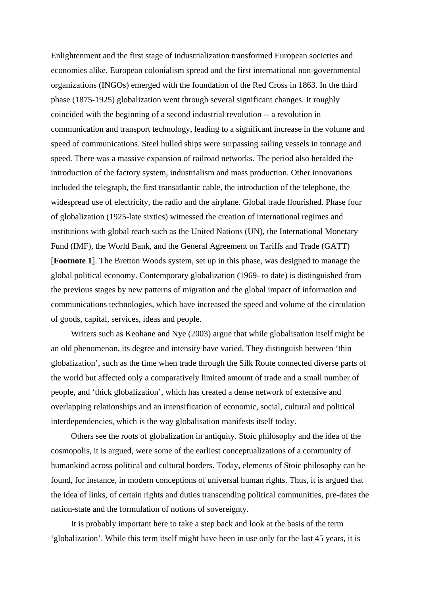Enlightenment and the first stage of industrialization transformed European societies and economies alike. European colonialism spread and the first international non-governmental organizations (INGOs) emerged with the foundation of the Red Cross in 1863. In the third phase (1875-1925) globalization went through several significant changes. It roughly coincided with the beginning of a second industrial revolution -- a revolution in communication and transport technology, leading to a significant increase in the volume and speed of communications. Steel hulled ships were surpassing sailing vessels in tonnage and speed. There was a massive expansion of railroad networks. The period also heralded the introduction of the factory system, industrialism and mass production. Other innovations included the telegraph, the first transatlantic cable, the introduction of the telephone, the widespread use of electricity, the radio and the airplane. Global trade flourished. Phase four of globalization (1925-late sixties) witnessed the creation of international regimes and institutions with global reach such as the United Nations (UN), the International Monetary Fund (IMF), the World Bank, and the General Agreement on Tariffs and Trade (GATT) [**Footnote 1**]. The Bretton Woods system, set up in this phase, was designed to manage the global political economy. Contemporary globalization (1969- to date) is distinguished from the previous stages by new patterns of migration and the global impact of information and communications technologies, which have increased the speed and volume of the circulation of goods, capital, services, ideas and people.

Writers such as Keohane and Nye (2003) argue that while globalisation itself might be an old phenomenon, its degree and intensity have varied. They distinguish between 'thin globalization', such as the time when trade through the Silk Route connected diverse parts of the world but affected only a comparatively limited amount of trade and a small number of people, and 'thick globalization', which has created a dense network of extensive and overlapping relationships and an intensification of economic, social, cultural and political interdependencies, which is the way globalisation manifests itself today.

Others see the roots of globalization in antiquity. Stoic philosophy and the idea of the cosmopolis, it is argued, were some of the earliest conceptualizations of a community of humankind across political and cultural borders. Today, elements of Stoic philosophy can be found, for instance, in modern conceptions of universal human rights. Thus, it is argued that the idea of links, of certain rights and duties transcending political communities, pre-dates the nation-state and the formulation of notions of sovereignty.

It is probably important here to take a step back and look at the basis of the term 'globalization'. While this term itself might have been in use only for the last 45 years, it is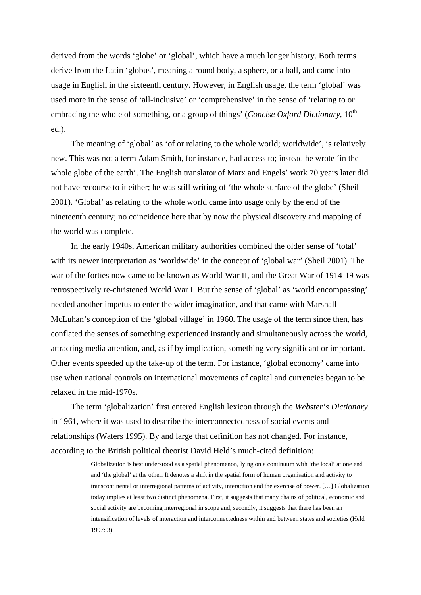derived from the words 'globe' or 'global', which have a much longer history. Both terms derive from the Latin 'globus', meaning a round body, a sphere, or a ball, and came into usage in English in the sixteenth century. However, in English usage, the term 'global' was used more in the sense of 'all-inclusive' or 'comprehensive' in the sense of 'relating to or embracing the whole of something, or a group of things' (*Concise Oxford Dictionary*, 10<sup>th</sup>) ed.).

The meaning of 'global' as 'of or relating to the whole world; worldwide', is relatively new. This was not a term Adam Smith, for instance, had access to; instead he wrote 'in the whole globe of the earth'. The English translator of Marx and Engels' work 70 years later did not have recourse to it either; he was still writing of 'the whole surface of the globe' (Sheil 2001). 'Global' as relating to the whole world came into usage only by the end of the nineteenth century; no coincidence here that by now the physical discovery and mapping of the world was complete.

In the early 1940s, American military authorities combined the older sense of 'total' with its newer interpretation as 'worldwide' in the concept of 'global war' (Sheil 2001). The war of the forties now came to be known as World War II, and the Great War of 1914-19 was retrospectively re-christened World War I. But the sense of 'global' as 'world encompassing' needed another impetus to enter the wider imagination, and that came with Marshall McLuhan's conception of the 'global village' in 1960. The usage of the term since then, has conflated the senses of something experienced instantly and simultaneously across the world, attracting media attention, and, as if by implication, something very significant or important. Other events speeded up the take-up of the term. For instance, 'global economy' came into use when national controls on international movements of capital and currencies began to be relaxed in the mid-1970s.

The term 'globalization' first entered English lexicon through the *Webster's Dictionary*  in 1961*,* where it was used to describe the interconnectedness of social events and relationships (Waters 1995). By and large that definition has not changed. For instance, according to the British political theorist David Held's much-cited definition:

> Globalization is best understood as a spatial phenomenon, lying on a continuum with 'the local' at one end and 'the global' at the other. It denotes a shift in the spatial form of human organisation and activity to transcontinental or interregional patterns of activity, interaction and the exercise of power. […] Globalization today implies at least two distinct phenomena. First, it suggests that many chains of political, economic and social activity are becoming interregional in scope and, secondly, it suggests that there has been an intensification of levels of interaction and interconnectedness within and between states and societies (Held 1997: 3).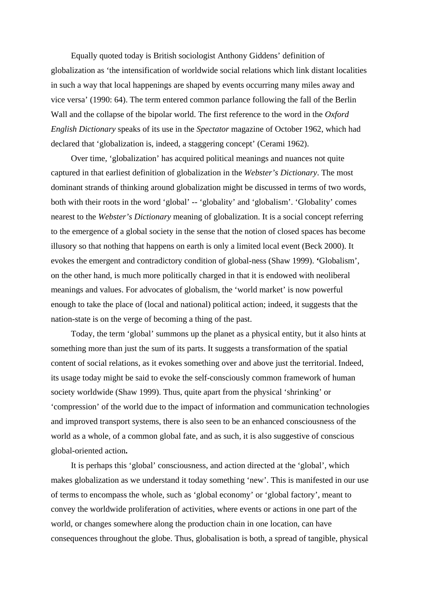Equally quoted today is British sociologist Anthony Giddens' definition of globalization as 'the intensification of worldwide social relations which link distant localities in such a way that local happenings are shaped by events occurring many miles away and vice versa' (1990: 64). The term entered common parlance following the fall of the Berlin Wall and the collapse of the bipolar world. The first reference to the word in the *Oxford English Dictionary* speaks of its use in the *Spectator* magazine of October 1962, which had declared that 'globalization is, indeed, a staggering concept' (Cerami 1962).

Over time, 'globalization' has acquired political meanings and nuances not quite captured in that earliest definition of globalization in the *Webster's Dictionary*. The most dominant strands of thinking around globalization might be discussed in terms of two words, both with their roots in the word 'global' -- 'globality' and 'globalism'. 'Globality' comes nearest to the *Webster's Dictionary* meaning of globalization. It is a social concept referring to the emergence of a global society in the sense that the notion of closed spaces has become illusory so that nothing that happens on earth is only a limited local event (Beck 2000). It evokes the emergent and contradictory condition of global-ness (Shaw 1999). **'**Globalism', on the other hand, is much more politically charged in that it is endowed with neoliberal meanings and values. For advocates of globalism, the 'world market' is now powerful enough to take the place of (local and national) political action; indeed, it suggests that the nation-state is on the verge of becoming a thing of the past.

Today, the term 'global' summons up the planet as a physical entity, but it also hints at something more than just the sum of its parts. It suggests a transformation of the spatial content of social relations, as it evokes something over and above just the territorial. Indeed, its usage today might be said to evoke the self-consciously common framework of human society worldwide (Shaw 1999). Thus, quite apart from the physical 'shrinking' or 'compression' of the world due to the impact of information and communication technologies and improved transport systems, there is also seen to be an enhanced consciousness of the world as a whole, of a common global fate, and as such, it is also suggestive of conscious global-oriented action**.**

It is perhaps this 'global' consciousness, and action directed at the 'global', which makes globalization as we understand it today something 'new'. This is manifested in our use of terms to encompass the whole, such as 'global economy' or 'global factory', meant to convey the worldwide proliferation of activities, where events or actions in one part of the world, or changes somewhere along the production chain in one location, can have consequences throughout the globe. Thus, globalisation is both, a spread of tangible, physical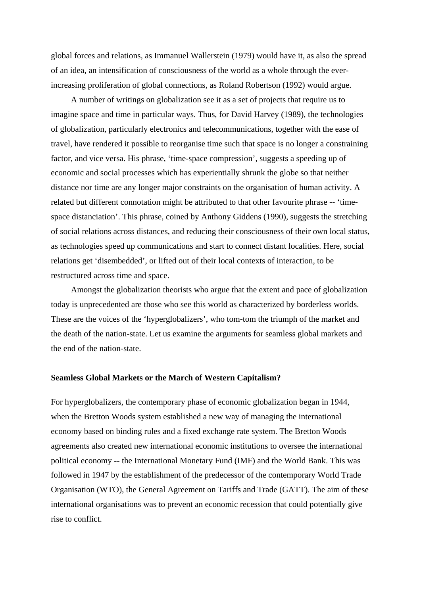global forces and relations, as Immanuel Wallerstein (1979) would have it, as also the spread of an idea, an intensification of consciousness of the world as a whole through the everincreasing proliferation of global connections, as Roland Robertson (1992) would argue.

A number of writings on globalization see it as a set of projects that require us to imagine space and time in particular ways. Thus, for David Harvey (1989), the technologies of globalization, particularly electronics and telecommunications, together with the ease of travel, have rendered it possible to reorganise time such that space is no longer a constraining factor, and vice versa. His phrase, 'time-space compression', suggests a speeding up of economic and social processes which has experientially shrunk the globe so that neither distance nor time are any longer major constraints on the organisation of human activity. A related but different connotation might be attributed to that other favourite phrase -- 'timespace distanciation'. This phrase, coined by Anthony Giddens (1990), suggests the stretching of social relations across distances, and reducing their consciousness of their own local status, as technologies speed up communications and start to connect distant localities. Here, social relations get 'disembedded', or lifted out of their local contexts of interaction, to be restructured across time and space.

Amongst the globalization theorists who argue that the extent and pace of globalization today is unprecedented are those who see this world as characterized by borderless worlds. These are the voices of the 'hyperglobalizers', who tom-tom the triumph of the market and the death of the nation-state. Let us examine the arguments for seamless global markets and the end of the nation-state.

### **Seamless Global Markets or the March of Western Capitalism?**

For hyperglobalizers, the contemporary phase of economic globalization began in 1944, when the Bretton Woods system established a new way of managing the international economy based on binding rules and a fixed exchange rate system. The Bretton Woods agreements also created new international economic institutions to oversee the international political economy -- the International Monetary Fund (IMF) and the World Bank. This was followed in 1947 by the establishment of the predecessor of the contemporary World Trade Organisation (WTO), the General Agreement on Tariffs and Trade (GATT). The aim of these international organisations was to prevent an economic recession that could potentially give rise to conflict.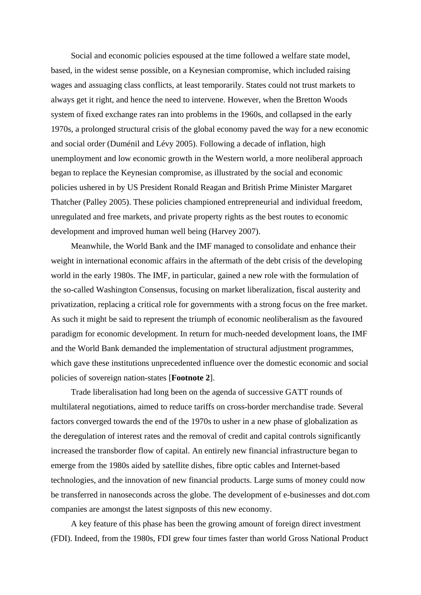Social and economic policies espoused at the time followed a welfare state model, based, in the widest sense possible, on a Keynesian compromise, which included raising wages and assuaging class conflicts, at least temporarily. States could not trust markets to always get it right, and hence the need to intervene. However, when the Bretton Woods system of fixed exchange rates ran into problems in the 1960s, and collapsed in the early 1970s, a prolonged structural crisis of the global economy paved the way for a new economic and social order (Duménil and Lévy 2005). Following a decade of inflation, high unemployment and low economic growth in the Western world, a more neoliberal approach began to replace the Keynesian compromise, as illustrated by the social and economic policies ushered in by US President Ronald Reagan and British Prime Minister Margaret Thatcher (Palley 2005). These policies championed entrepreneurial and individual freedom, unregulated and free markets, and private property rights as the best routes to economic development and improved human well being (Harvey 2007).

Meanwhile, the World Bank and the IMF managed to consolidate and enhance their weight in international economic affairs in the aftermath of the debt crisis of the developing world in the early 1980s. The IMF, in particular, gained a new role with the formulation of the so-called Washington Consensus, focusing on market liberalization, fiscal austerity and privatization, replacing a critical role for governments with a strong focus on the free market. As such it might be said to represent the triumph of economic neoliberalism as the favoured paradigm for economic development. In return for much-needed development loans, the IMF and the World Bank demanded the implementation of structural adjustment programmes, which gave these institutions unprecedented influence over the domestic economic and social policies of sovereign nation-states [**Footnote 2**].

Trade liberalisation had long been on the agenda of successive GATT rounds of multilateral negotiations, aimed to reduce tariffs on cross-border merchandise trade. Several factors converged towards the end of the 1970s to usher in a new phase of globalization as the deregulation of interest rates and the removal of credit and capital controls significantly increased the transborder flow of capital. An entirely new financial infrastructure began to emerge from the 1980s aided by satellite dishes, fibre optic cables and Internet-based technologies, and the innovation of new financial products. Large sums of money could now be transferred in nanoseconds across the globe. The development of e-businesses and dot.com companies are amongst the latest signposts of this new economy.

A key feature of this phase has been the growing amount of foreign direct investment (FDI). Indeed, from the 1980s, FDI grew four times faster than world Gross National Product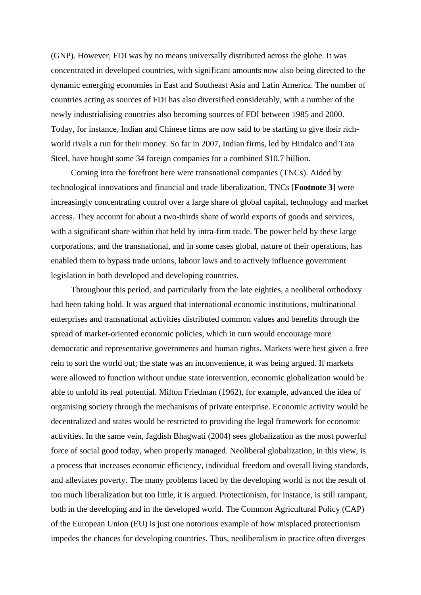(GNP). However, FDI was by no means universally distributed across the globe. It was concentrated in developed countries, with significant amounts now also being directed to the dynamic emerging economies in East and Southeast Asia and Latin America. The number of countries acting as sources of FDI has also diversified considerably, with a number of the newly industrialising countries also becoming sources of FDI between 1985 and 2000. Today, for instance, Indian and Chinese firms are now said to be starting to give their richworld rivals a run for their money. So far in 2007, Indian firms, led by Hindalco and Tata Steel, have bought some 34 foreign companies for a combined \$10.7 billion.

Coming into the forefront here were transnational companies (TNCs). Aided by technological innovations and financial and trade liberalization, TNCs [**Footnote 3**] were increasingly concentrating control over a large share of global capital, technology and market access. They account for about a two-thirds share of world exports of goods and services, with a significant share within that held by intra-firm trade. The power held by these large corporations, and the transnational, and in some cases global, nature of their operations, has enabled them to bypass trade unions, labour laws and to actively influence government legislation in both developed and developing countries.

Throughout this period, and particularly from the late eighties, a neoliberal orthodoxy had been taking hold. It was argued that international economic institutions, multinational enterprises and transnational activities distributed common values and benefits through the spread of market-oriented economic policies, which in turn would encourage more democratic and representative governments and human rights. Markets were best given a free rein to sort the world out; the state was an inconvenience, it was being argued. If markets were allowed to function without undue state intervention, economic globalization would be able to unfold its real potential. Milton Friedman (1962), for example, advanced the idea of organising society through the mechanisms of private enterprise. Economic activity would be decentralized and states would be restricted to providing the legal framework for economic activities. In the same vein, Jagdish Bhagwati (2004) sees globalization as the most powerful force of social good today, when properly managed. Neoliberal globalization, in this view, is a process that increases economic efficiency, individual freedom and overall living standards, and alleviates poverty. The many problems faced by the developing world is not the result of too much liberalization but too little, it is argued. Protectionism, for instance, is still rampant, both in the developing and in the developed world. The Common Agricultural Policy (CAP) of the European Union (EU) is just one notorious example of how misplaced protectionism impedes the chances for developing countries. Thus, neoliberalism in practice often diverges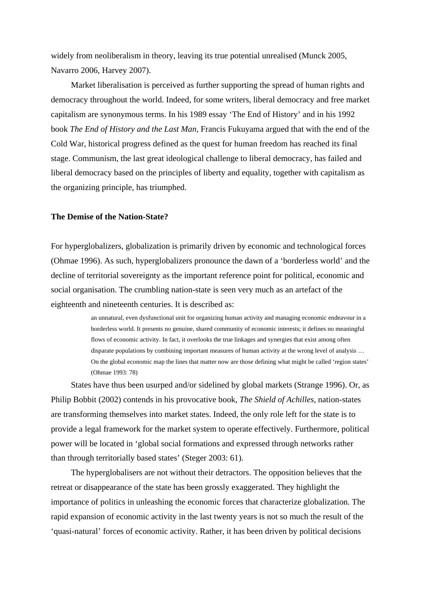widely from neoliberalism in theory, leaving its true potential unrealised (Munck 2005, Navarro 2006, Harvey 2007).

Market liberalisation is perceived as further supporting the spread of human rights and democracy throughout the world. Indeed, for some writers, liberal democracy and free market capitalism are synonymous terms. In his 1989 essay 'The End of History' and in his 1992 book *The End of History and the Last Man,* Francis Fukuyama argued that with the end of the Cold War, historical progress defined as the quest for human freedom has reached its final stage. Communism, the last great ideological challenge to liberal democracy, has failed and liberal democracy based on the principles of liberty and equality, together with capitalism as the organizing principle, has triumphed.

# **The Demise of the Nation-State?**

For hyperglobalizers, globalization is primarily driven by economic and technological forces (Ohmae 1996). As such, hyperglobalizers pronounce the dawn of a 'borderless world' and the decline of territorial sovereignty as the important reference point for political, economic and social organisation. The crumbling nation-state is seen very much as an artefact of the eighteenth and nineteenth centuries. It is described as:

> an unnatural, even dysfunctional unit for organizing human activity and managing economic endeavour in a borderless world. It presents no genuine, shared community of economic interests; it defines no meaningful flows of economic activity. In fact, it overlooks the true linkages and synergies that exist among often disparate populations by combining important measures of human activity at the wrong level of analysis ... On the global economic map the lines that matter now are those defining what might be called 'region states' (Ohmae 1993: 78)

States have thus been usurped and/or sidelined by global markets (Strange 1996). Or, as Philip Bobbit (2002) contends in his provocative book, *The Shield of Achilles*, nation-states are transforming themselves into market states. Indeed, the only role left for the state is to provide a legal framework for the market system to operate effectively. Furthermore, political power will be located in 'global social formations and expressed through networks rather than through territorially based states' (Steger 2003: 61).

The hyperglobalisers are not without their detractors. The opposition believes that the retreat or disappearance of the state has been grossly exaggerated. They highlight the importance of politics in unleashing the economic forces that characterize globalization. The rapid expansion of economic activity in the last twenty years is not so much the result of the 'quasi-natural' forces of economic activity. Rather, it has been driven by political decisions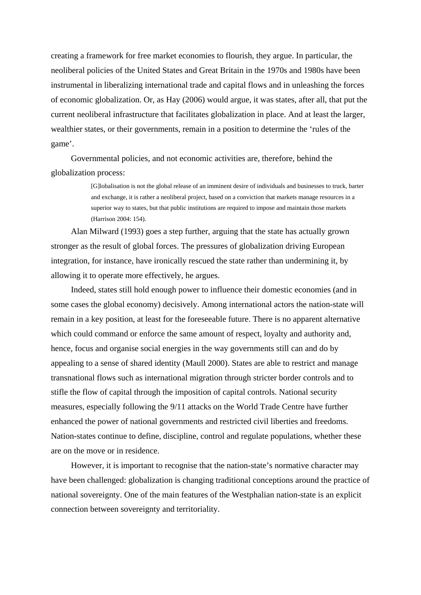creating a framework for free market economies to flourish, they argue. In particular, the neoliberal policies of the United States and Great Britain in the 1970s and 1980s have been instrumental in liberalizing international trade and capital flows and in unleashing the forces of economic globalization. Or, as Hay (2006) would argue, it was states, after all, that put the current neoliberal infrastructure that facilitates globalization in place. And at least the larger, wealthier states, or their governments, remain in a position to determine the 'rules of the game'.

Governmental policies, and not economic activities are, therefore, behind the globalization process:

> [G]lobalisation is not the global release of an imminent desire of individuals and businesses to truck, barter and exchange, it is rather a neoliberal project, based on a conviction that markets manage resources in a superior way to states, but that public institutions are required to impose and maintain those markets (Harrison 2004: 154).

Alan Milward (1993) goes a step further, arguing that the state has actually grown stronger as the result of global forces. The pressures of globalization driving European integration, for instance, have ironically rescued the state rather than undermining it, by allowing it to operate more effectively, he argues.

Indeed, states still hold enough power to influence their domestic economies (and in some cases the global economy) decisively. Among international actors the nation-state will remain in a key position, at least for the foreseeable future. There is no apparent alternative which could command or enforce the same amount of respect, loyalty and authority and, hence, focus and organise social energies in the way governments still can and do by appealing to a sense of shared identity (Maull 2000). States are able to restrict and manage transnational flows such as international migration through stricter border controls and to stifle the flow of capital through the imposition of capital controls. National security measures, especially following the 9/11 attacks on the World Trade Centre have further enhanced the power of national governments and restricted civil liberties and freedoms. Nation-states continue to define, discipline, control and regulate populations, whether these are on the move or in residence.

However, it is important to recognise that the nation-state's normative character may have been challenged: globalization is changing traditional conceptions around the practice of national sovereignty. One of the main features of the Westphalian nation-state is an explicit connection between sovereignty and territoriality.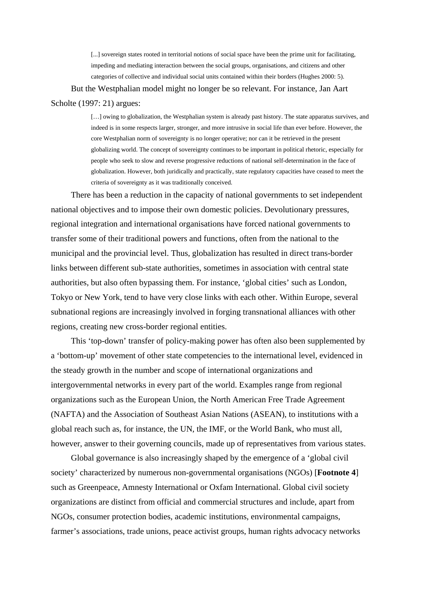[...] sovereign states rooted in territorial notions of social space have been the prime unit for facilitating, impeding and mediating interaction between the social groups, organisations, and citizens and other categories of collective and individual social units contained within their borders (Hughes 2000: 5).

But the Westphalian model might no longer be so relevant. For instance, Jan Aart Scholte (1997: 21) argues:

> [...] owing to globalization, the Westphalian system is already past history. The state apparatus survives, and indeed is in some respects larger, stronger, and more intrusive in social life than ever before. However, the core Westphalian norm of sovereignty is no longer operative; nor can it be retrieved in the present globalizing world. The concept of sovereignty continues to be important in political rhetoric, especially for people who seek to slow and reverse progressive reductions of national self-determination in the face of globalization. However, both juridically and practically, state regulatory capacities have ceased to meet the criteria of sovereignty as it was traditionally conceived.

There has been a reduction in the capacity of national governments to set independent national objectives and to impose their own domestic policies. Devolutionary pressures, regional integration and international organisations have forced national governments to transfer some of their traditional powers and functions, often from the national to the municipal and the provincial level. Thus, globalization has resulted in direct trans-border links between different sub-state authorities, sometimes in association with central state authorities, but also often bypassing them. For instance, 'global cities' such as London, Tokyo or New York, tend to have very close links with each other. Within Europe, several subnational regions are increasingly involved in forging transnational alliances with other regions, creating new cross-border regional entities.

This 'top-down' transfer of policy-making power has often also been supplemented by a 'bottom-up' movement of other state competencies to the international level, evidenced in the steady growth in the number and scope of international organizations and intergovernmental networks in every part of the world. Examples range from regional organizations such as the European Union, the North American Free Trade Agreement (NAFTA) and the Association of Southeast Asian Nations (ASEAN), to institutions with a global reach such as, for instance, the UN, the IMF, or the World Bank, who must all, however, answer to their governing councils, made up of representatives from various states.

Global governance is also increasingly shaped by the emergence of a 'global civil society' characterized by numerous non-governmental organisations (NGOs) [**Footnote 4**] such as Greenpeace, Amnesty International or Oxfam International. Global civil society organizations are distinct from official and commercial structures and include, apart from NGOs, consumer protection bodies, academic institutions, environmental campaigns, farmer's associations, trade unions, peace activist groups, human rights advocacy networks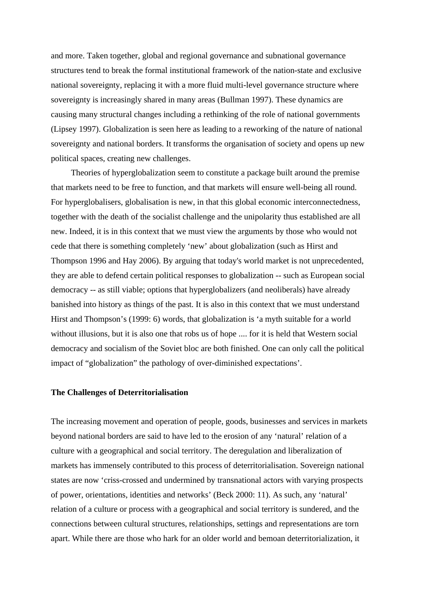and more. Taken together, global and regional governance and subnational governance structures tend to break the formal institutional framework of the nation-state and exclusive national sovereignty, replacing it with a more fluid multi-level governance structure where sovereignty is increasingly shared in many areas (Bullman 1997). These dynamics are causing many structural changes including a rethinking of the role of national governments (Lipsey 1997). Globalization is seen here as leading to a reworking of the nature of national sovereignty and national borders. It transforms the organisation of society and opens up new political spaces, creating new challenges.

Theories of hyperglobalization seem to constitute a package built around the premise that markets need to be free to function, and that markets will ensure well-being all round. For hyperglobalisers, globalisation is new, in that this global economic interconnectedness, together with the death of the socialist challenge and the unipolarity thus established are all new. Indeed, it is in this context that we must view the arguments by those who would not cede that there is something completely 'new' about globalization (such as Hirst and Thompson 1996 and Hay 2006). By arguing that today's world market is not unprecedented, they are able to defend certain political responses to globalization -- such as European social democracy -- as still viable; options that hyperglobalizers (and neoliberals) have already banished into history as things of the past. It is also in this context that we must understand Hirst and Thompson's (1999: 6) words, that globalization is 'a myth suitable for a world without illusions, but it is also one that robs us of hope .... for it is held that Western social democracy and socialism of the Soviet bloc are both finished. One can only call the political impact of "globalization" the pathology of over-diminished expectations'.

### **The Challenges of Deterritorialisation**

The increasing movement and operation of people, goods, businesses and services in markets beyond national borders are said to have led to the erosion of any 'natural' relation of a culture with a geographical and social territory. The deregulation and liberalization of markets has immensely contributed to this process of deterritorialisation. Sovereign national states are now 'criss-crossed and undermined by transnational actors with varying prospects of power, orientations, identities and networks' (Beck 2000: 11). As such, any 'natural' relation of a culture or process with a geographical and social territory is sundered, and the connections between cultural structures, relationships, settings and representations are torn apart. While there are those who hark for an older world and bemoan deterritorialization, it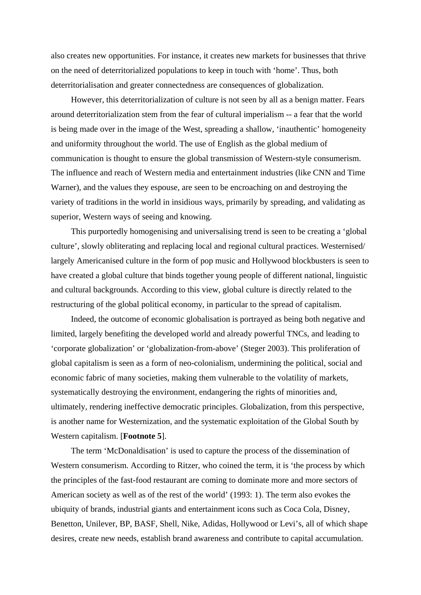also creates new opportunities. For instance, it creates new markets for businesses that thrive on the need of deterritorialized populations to keep in touch with 'home'. Thus, both deterritorialisation and greater connectedness are consequences of globalization.

However, this deterritorialization of culture is not seen by all as a benign matter. Fears around deterritorialization stem from the fear of cultural imperialism -- a fear that the world is being made over in the image of the West, spreading a shallow, 'inauthentic' homogeneity and uniformity throughout the world. The use of English as the global medium of communication is thought to ensure the global transmission of Western-style consumerism. The influence and reach of Western media and entertainment industries (like CNN and Time Warner), and the values they espouse, are seen to be encroaching on and destroying the variety of traditions in the world in insidious ways, primarily by spreading, and validating as superior, Western ways of seeing and knowing.

This purportedly homogenising and universalising trend is seen to be creating a 'global culture', slowly obliterating and replacing local and regional cultural practices. Westernised/ largely Americanised culture in the form of pop music and Hollywood blockbusters is seen to have created a global culture that binds together young people of different national, linguistic and cultural backgrounds. According to this view, global culture is directly related to the restructuring of the global political economy, in particular to the spread of capitalism.

Indeed, the outcome of economic globalisation is portrayed as being both negative and limited, largely benefiting the developed world and already powerful TNCs, and leading to 'corporate globalization' or 'globalization-from-above' (Steger 2003). This proliferation of global capitalism is seen as a form of neo-colonialism, undermining the political, social and economic fabric of many societies, making them vulnerable to the volatility of markets, systematically destroying the environment, endangering the rights of minorities and, ultimately, rendering ineffective democratic principles. Globalization, from this perspective, is another name for Westernization, and the systematic exploitation of the Global South by Western capitalism. [**Footnote 5**].

The term 'McDonaldisation' is used to capture the process of the dissemination of Western consumerism. According to Ritzer, who coined the term, it is 'the process by which the principles of the fast-food restaurant are coming to dominate more and more sectors of American society as well as of the rest of the world' (1993: 1). The term also evokes the ubiquity of brands, industrial giants and entertainment icons such as Coca Cola, Disney, Benetton, Unilever, BP, BASF, Shell, Nike, Adidas, Hollywood or Levi's, all of which shape desires, create new needs, establish brand awareness and contribute to capital accumulation.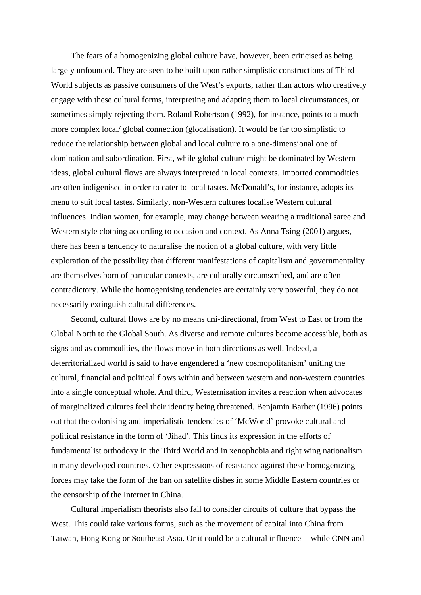The fears of a homogenizing global culture have, however, been criticised as being largely unfounded. They are seen to be built upon rather simplistic constructions of Third World subjects as passive consumers of the West's exports, rather than actors who creatively engage with these cultural forms, interpreting and adapting them to local circumstances, or sometimes simply rejecting them. Roland Robertson (1992), for instance, points to a much more complex local/ global connection (glocalisation). It would be far too simplistic to reduce the relationship between global and local culture to a one-dimensional one of domination and subordination. First, while global culture might be dominated by Western ideas, global cultural flows are always interpreted in local contexts. Imported commodities are often indigenised in order to cater to local tastes. McDonald's, for instance, adopts its menu to suit local tastes. Similarly, non-Western cultures localise Western cultural influences. Indian women, for example, may change between wearing a traditional saree and Western style clothing according to occasion and context. As Anna Tsing (2001) argues, there has been a tendency to naturalise the notion of a global culture, with very little exploration of the possibility that different manifestations of capitalism and governmentality are themselves born of particular contexts, are culturally circumscribed, and are often contradictory. While the homogenising tendencies are certainly very powerful, they do not necessarily extinguish cultural differences.

Second, cultural flows are by no means uni-directional, from West to East or from the Global North to the Global South. As diverse and remote cultures become accessible, both as signs and as commodities, the flows move in both directions as well. Indeed, a deterritorialized world is said to have engendered a 'new cosmopolitanism' uniting the cultural, financial and political flows within and between western and non-western countries into a single conceptual whole. And third, Westernisation invites a reaction when advocates of marginalized cultures feel their identity being threatened. Benjamin Barber (1996) points out that the colonising and imperialistic tendencies of 'McWorld' provoke cultural and political resistance in the form of 'Jihad'. This finds its expression in the efforts of fundamentalist orthodoxy in the Third World and in xenophobia and right wing nationalism in many developed countries. Other expressions of resistance against these homogenizing forces may take the form of the ban on satellite dishes in some Middle Eastern countries or the censorship of the Internet in China.

Cultural imperialism theorists also fail to consider circuits of culture that bypass the West. This could take various forms, such as the movement of capital into China from Taiwan, Hong Kong or Southeast Asia. Or it could be a cultural influence -- while CNN and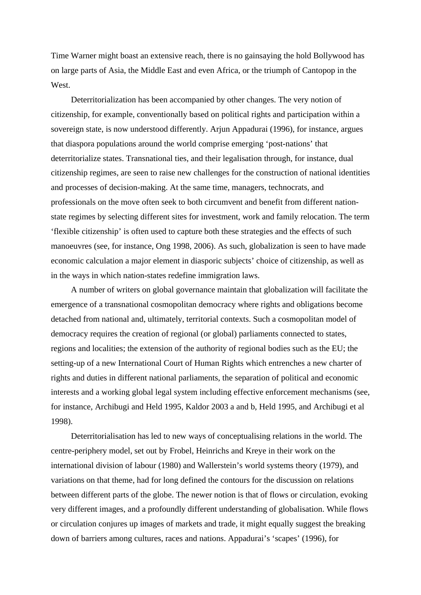Time Warner might boast an extensive reach, there is no gainsaying the hold Bollywood has on large parts of Asia, the Middle East and even Africa, or the triumph of Cantopop in the West.

Deterritorialization has been accompanied by other changes. The very notion of citizenship, for example, conventionally based on political rights and participation within a sovereign state, is now understood differently. Arjun Appadurai (1996), for instance, argues that diaspora populations around the world comprise emerging 'post-nations' that deterritorialize states. Transnational ties, and their legalisation through, for instance, dual citizenship regimes, are seen to raise new challenges for the construction of national identities and processes of decision-making. At the same time, managers, technocrats, and professionals on the move often seek to both circumvent and benefit from different nationstate regimes by selecting different sites for investment, work and family relocation. The term 'flexible citizenship' is often used to capture both these strategies and the effects of such manoeuvres (see, for instance, Ong 1998, 2006). As such, globalization is seen to have made economic calculation a major element in diasporic subjects' choice of citizenship, as well as in the ways in which nation-states redefine immigration laws.

A number of writers on global governance maintain that globalization will facilitate the emergence of a transnational cosmopolitan democracy where rights and obligations become detached from national and, ultimately, territorial contexts. Such a cosmopolitan model of democracy requires the creation of regional (or global) parliaments connected to states, regions and localities; the extension of the authority of regional bodies such as the EU; the setting-up of a new International Court of Human Rights which entrenches a new charter of rights and duties in different national parliaments, the separation of political and economic interests and a working global legal system including effective enforcement mechanisms (see, for instance, Archibugi and Held 1995, Kaldor 2003 a and b, Held 1995, and Archibugi et al 1998).

Deterritorialisation has led to new ways of conceptualising relations in the world. The centre-periphery model, set out by Frobel, Heinrichs and Kreye in their work on the international division of labour (1980) and Wallerstein's world systems theory (1979), and variations on that theme, had for long defined the contours for the discussion on relations between different parts of the globe. The newer notion is that of flows or circulation, evoking very different images, and a profoundly different understanding of globalisation. While flows or circulation conjures up images of markets and trade, it might equally suggest the breaking down of barriers among cultures, races and nations. Appadurai's 'scapes' (1996), for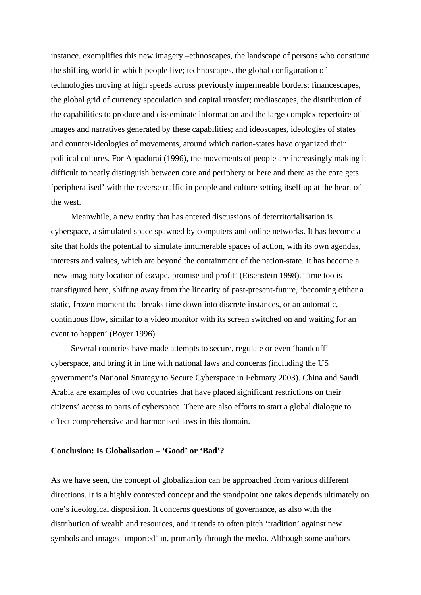instance, exemplifies this new imagery –ethnoscapes, the landscape of persons who constitute the shifting world in which people live; technoscapes, the global configuration of technologies moving at high speeds across previously impermeable borders; financescapes, the global grid of currency speculation and capital transfer; mediascapes, the distribution of the capabilities to produce and disseminate information and the large complex repertoire of images and narratives generated by these capabilities; and ideoscapes, ideologies of states and counter-ideologies of movements, around which nation-states have organized their political cultures. For Appadurai (1996), the movements of people are increasingly making it difficult to neatly distinguish between core and periphery or here and there as the core gets 'peripheralised' with the reverse traffic in people and culture setting itself up at the heart of the west.

Meanwhile, a new entity that has entered discussions of deterritorialisation is cyberspace, a simulated space spawned by computers and online networks. It has become a site that holds the potential to simulate innumerable spaces of action, with its own agendas, interests and values, which are beyond the containment of the nation-state. It has become a 'new imaginary location of escape, promise and profit' (Eisenstein 1998). Time too is transfigured here, shifting away from the linearity of past-present-future, 'becoming either a static, frozen moment that breaks time down into discrete instances, or an automatic, continuous flow, similar to a video monitor with its screen switched on and waiting for an event to happen' (Boyer 1996).

Several countries have made attempts to secure, regulate or even 'handcuff' cyberspace, and bring it in line with national laws and concerns (including the US government's National Strategy to Secure Cyberspace in February 2003). China and Saudi Arabia are examples of two countries that have placed significant restrictions on their citizens' access to parts of cyberspace. There are also efforts to start a global dialogue to effect comprehensive and harmonised laws in this domain.

#### **Conclusion: Is Globalisation – 'Good' or 'Bad'?**

As we have seen, the concept of globalization can be approached from various different directions. It is a highly contested concept and the standpoint one takes depends ultimately on one's ideological disposition. It concerns questions of governance, as also with the distribution of wealth and resources, and it tends to often pitch 'tradition' against new symbols and images 'imported' in, primarily through the media. Although some authors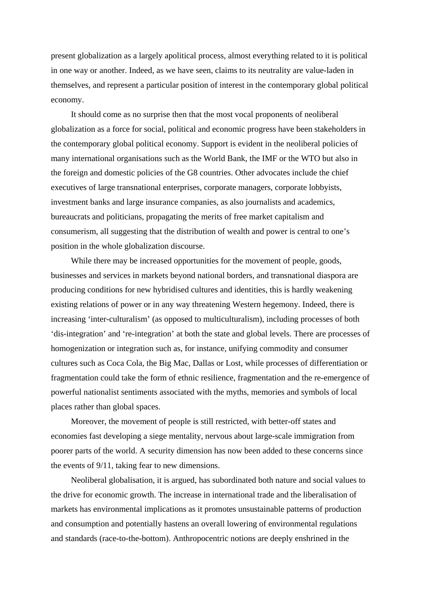present globalization as a largely apolitical process, almost everything related to it is political in one way or another. Indeed, as we have seen, claims to its neutrality are value-laden in themselves, and represent a particular position of interest in the contemporary global political economy.

It should come as no surprise then that the most vocal proponents of neoliberal globalization as a force for social, political and economic progress have been stakeholders in the contemporary global political economy. Support is evident in the neoliberal policies of many international organisations such as the World Bank, the IMF or the WTO but also in the foreign and domestic policies of the G8 countries. Other advocates include the chief executives of large transnational enterprises, corporate managers, corporate lobbyists, investment banks and large insurance companies, as also journalists and academics, bureaucrats and politicians, propagating the merits of free market capitalism and consumerism, all suggesting that the distribution of wealth and power is central to one's position in the whole globalization discourse.

While there may be increased opportunities for the movement of people, goods, businesses and services in markets beyond national borders, and transnational diaspora are producing conditions for new hybridised cultures and identities, this is hardly weakening existing relations of power or in any way threatening Western hegemony. Indeed, there is increasing 'inter-culturalism' (as opposed to multiculturalism), including processes of both 'dis-integration' and 're-integration' at both the state and global levels. There are processes of homogenization or integration such as, for instance, unifying commodity and consumer cultures such as Coca Cola, the Big Mac, Dallas or Lost, while processes of differentiation or fragmentation could take the form of ethnic resilience, fragmentation and the re-emergence of powerful nationalist sentiments associated with the myths, memories and symbols of local places rather than global spaces.

Moreover, the movement of people is still restricted, with better-off states and economies fast developing a siege mentality, nervous about large-scale immigration from poorer parts of the world. A security dimension has now been added to these concerns since the events of 9/11, taking fear to new dimensions.

Neoliberal globalisation, it is argued, has subordinated both nature and social values to the drive for economic growth. The increase in international trade and the liberalisation of markets has environmental implications as it promotes unsustainable patterns of production and consumption and potentially hastens an overall lowering of environmental regulations and standards (race-to-the-bottom). Anthropocentric notions are deeply enshrined in the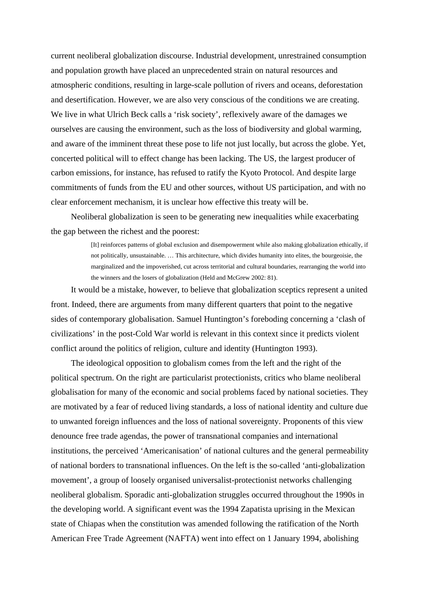current neoliberal globalization discourse. Industrial development, unrestrained consumption and population growth have placed an unprecedented strain on natural resources and atmospheric conditions, resulting in large-scale pollution of rivers and oceans, deforestation and desertification. However, we are also very conscious of the conditions we are creating. We live in what Ulrich Beck calls a 'risk society', reflexively aware of the damages we ourselves are causing the environment, such as the loss of biodiversity and global warming, and aware of the imminent threat these pose to life not just locally, but across the globe. Yet, concerted political will to effect change has been lacking. The US, the largest producer of carbon emissions, for instance, has refused to ratify the Kyoto Protocol. And despite large commitments of funds from the EU and other sources, without US participation, and with no clear enforcement mechanism, it is unclear how effective this treaty will be.

Neoliberal globalization is seen to be generating new inequalities while exacerbating the gap between the richest and the poorest:

> [It] reinforces patterns of global exclusion and disempowerment while also making globalization ethically, if not politically, unsustainable. … This architecture, which divides humanity into elites, the bourgeoisie, the marginalized and the impoverished, cut across territorial and cultural boundaries, rearranging the world into the winners and the losers of globalization (Held and McGrew 2002: 81).

It would be a mistake, however, to believe that globalization sceptics represent a united front. Indeed, there are arguments from many different quarters that point to the negative sides of contemporary globalisation. Samuel Huntington's foreboding concerning a 'clash of civilizations' in the post-Cold War world is relevant in this context since it predicts violent conflict around the politics of religion, culture and identity (Huntington 1993).

The ideological opposition to globalism comes from the left and the right of the political spectrum. On the right are particularist protectionists, critics who blame neoliberal globalisation for many of the economic and social problems faced by national societies. They are motivated by a fear of reduced living standards, a loss of national identity and culture due to unwanted foreign influences and the loss of national sovereignty. Proponents of this view denounce free trade agendas, the power of transnational companies and international institutions, the perceived 'Americanisation' of national cultures and the general permeability of national borders to transnational influences. On the left is the so-called 'anti-globalization movement', a group of loosely organised universalist-protectionist networks challenging neoliberal globalism. Sporadic anti-globalization struggles occurred throughout the 1990s in the developing world. A significant event was the 1994 Zapatista uprising in the Mexican state of Chiapas when the constitution was amended following the ratification of the North American Free Trade Agreement (NAFTA) went into effect on 1 January 1994, abolishing